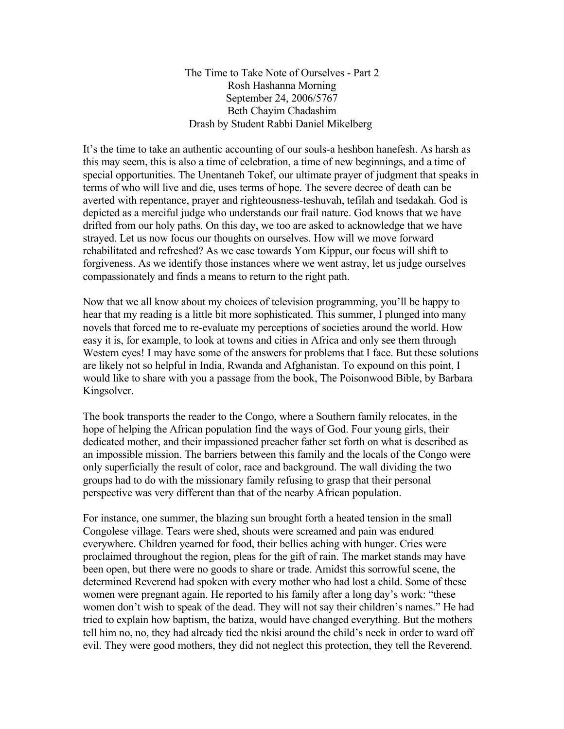The Time to Take Note of Ourselves - Part 2 Rosh Hashanna Morning September 24, 2006/5767 Beth Chayim Chadashim Drash by Student Rabbi Daniel Mikelberg

It's the time to take an authentic accounting of our souls-a heshbon hanefesh. As harsh as this may seem, this is also a time of celebration, a time of new beginnings, and a time of special opportunities. The Unentaneh Tokef, our ultimate prayer of judgment that speaks in terms of who will live and die, uses terms of hope. The severe decree of death can be averted with repentance, prayer and righteousness-teshuvah, tefilah and tsedakah. God is depicted as a merciful judge who understands our frail nature. God knows that we have drifted from our holy paths. On this day, we too are asked to acknowledge that we have strayed. Let us now focus our thoughts on ourselves. How will we move forward rehabilitated and refreshed? As we ease towards Yom Kippur, our focus will shift to forgiveness. As we identify those instances where we went astray, let us judge ourselves compassionately and finds a means to return to the right path.

Now that we all know about my choices of television programming, you'll be happy to hear that my reading is a little bit more sophisticated. This summer, I plunged into many novels that forced me to re-evaluate my perceptions of societies around the world. How easy it is, for example, to look at towns and cities in Africa and only see them through Western eyes! I may have some of the answers for problems that I face. But these solutions are likely not so helpful in India, Rwanda and Afghanistan. To expound on this point, I would like to share with you a passage from the book, The Poisonwood Bible, by Barbara Kingsolver.

The book transports the reader to the Congo, where a Southern family relocates, in the hope of helping the African population find the ways of God. Four young girls, their dedicated mother, and their impassioned preacher father set forth on what is described as an impossible mission. The barriers between this family and the locals of the Congo were only superficially the result of color, race and background. The wall dividing the two groups had to do with the missionary family refusing to grasp that their personal perspective was very different than that of the nearby African population.

For instance, one summer, the blazing sun brought forth a heated tension in the small Congolese village. Tears were shed, shouts were screamed and pain was endured everywhere. Children yearned for food, their bellies aching with hunger. Cries were proclaimed throughout the region, pleas for the gift of rain. The market stands may have been open, but there were no goods to share or trade. Amidst this sorrowful scene, the determined Reverend had spoken with every mother who had lost a child. Some of these women were pregnant again. He reported to his family after a long day's work: "these women don't wish to speak of the dead. They will not say their children's names." He had tried to explain how baptism, the batiza, would have changed everything. But the mothers tell him no, no, they had already tied the nkisi around the child's neck in order to ward off evil. They were good mothers, they did not neglect this protection, they tell the Reverend.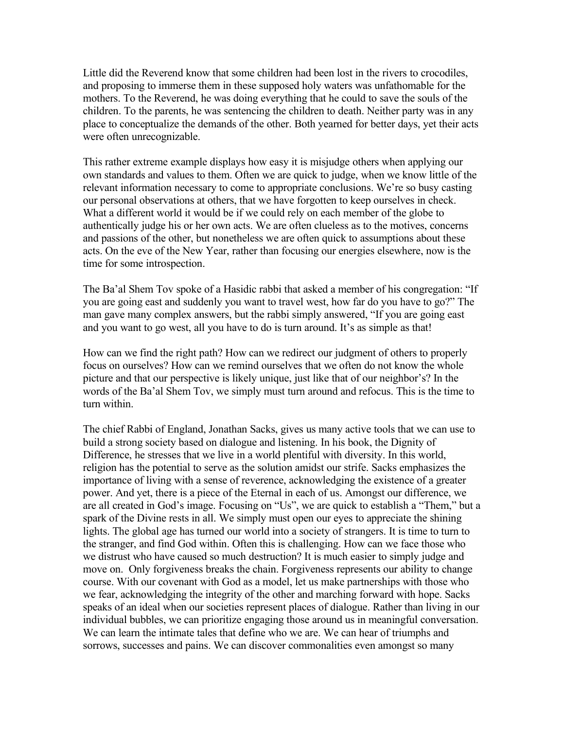Little did the Reverend know that some children had been lost in the rivers to crocodiles, and proposing to immerse them in these supposed holy waters was unfathomable for the mothers. To the Reverend, he was doing everything that he could to save the souls of the children. To the parents, he was sentencing the children to death. Neither party was in any place to conceptualize the demands of the other. Both yearned for better days, yet their acts were often unrecognizable.

This rather extreme example displays how easy it is misjudge others when applying our own standards and values to them. Often we are quick to judge, when we know little of the relevant information necessary to come to appropriate conclusions. We're so busy casting our personal observations at others, that we have forgotten to keep ourselves in check. What a different world it would be if we could rely on each member of the globe to authentically judge his or her own acts. We are often clueless as to the motives, concerns and passions of the other, but nonetheless we are often quick to assumptions about these acts. On the eve of the New Year, rather than focusing our energies elsewhere, now is the time for some introspection.

The Ba'al Shem Tov spoke of a Hasidic rabbi that asked a member of his congregation: "If you are going east and suddenly you want to travel west, how far do you have to go?" The man gave many complex answers, but the rabbi simply answered, "If you are going east and you want to go west, all you have to do is turn around. It's as simple as that!

How can we find the right path? How can we redirect our judgment of others to properly focus on ourselves? How can we remind ourselves that we often do not know the whole picture and that our perspective is likely unique, just like that of our neighbor's? In the words of the Ba'al Shem Tov, we simply must turn around and refocus. This is the time to turn within.

The chief Rabbi of England, Jonathan Sacks, gives us many active tools that we can use to build a strong society based on dialogue and listening. In his book, the Dignity of Difference, he stresses that we live in a world plentiful with diversity. In this world, religion has the potential to serve as the solution amidst our strife. Sacks emphasizes the importance of living with a sense of reverence, acknowledging the existence of a greater power. And yet, there is a piece of the Eternal in each of us. Amongst our difference, we are all created in God's image. Focusing on "Us", we are quick to establish a "Them," but a spark of the Divine rests in all. We simply must open our eyes to appreciate the shining lights. The global age has turned our world into a society of strangers. It is time to turn to the stranger, and find God within. Often this is challenging. How can we face those who we distrust who have caused so much destruction? It is much easier to simply judge and move on. Only forgiveness breaks the chain. Forgiveness represents our ability to change course. With our covenant with God as a model, let us make partnerships with those who we fear, acknowledging the integrity of the other and marching forward with hope. Sacks speaks of an ideal when our societies represent places of dialogue. Rather than living in our individual bubbles, we can prioritize engaging those around us in meaningful conversation. We can learn the intimate tales that define who we are. We can hear of triumphs and sorrows, successes and pains. We can discover commonalities even amongst so many